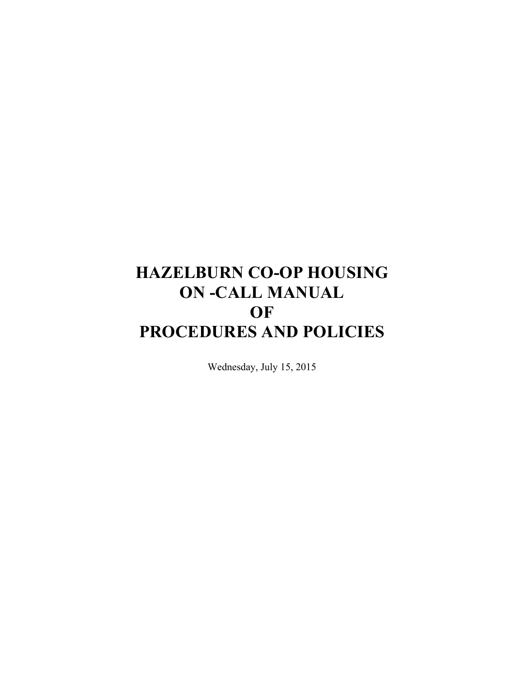# **HAZELBURN CO-OP HOUSING ON -CALL MANUAL OF PROCEDURES AND POLICIES**

Wednesday, July 15, 2015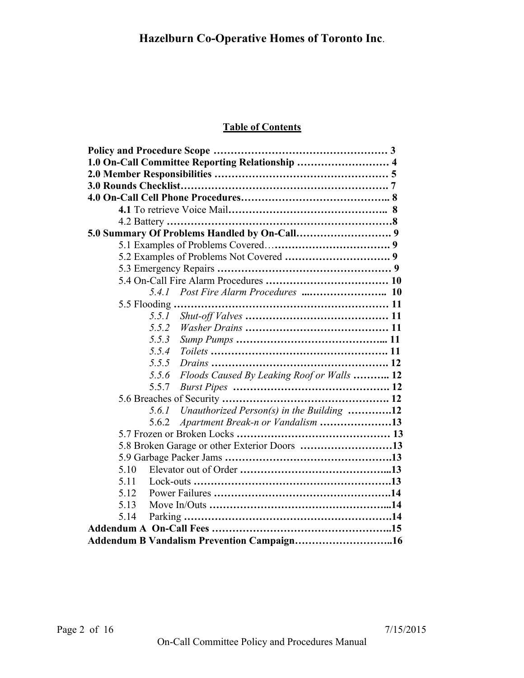## **Table of Contents**

| 1.0 On-Call Committee Reporting Relationship  4     |  |
|-----------------------------------------------------|--|
|                                                     |  |
|                                                     |  |
|                                                     |  |
|                                                     |  |
|                                                     |  |
|                                                     |  |
|                                                     |  |
|                                                     |  |
|                                                     |  |
|                                                     |  |
|                                                     |  |
|                                                     |  |
| 5.5.1                                               |  |
| 5.5.2                                               |  |
| 5.5.3                                               |  |
| 5.5.4                                               |  |
| 5.5.5                                               |  |
| Floods Caused By Leaking Roof or Walls  12<br>5.5.6 |  |
| 5.5.7                                               |  |
|                                                     |  |
| Unauthorized Person(s) in the Building 12<br>5.6.1  |  |
| Apartment Break-n or Vandalism 13<br>5.6.2          |  |
|                                                     |  |
| 5.8 Broken Garage or other Exterior Doors 13        |  |
|                                                     |  |
| 5.10                                                |  |
| 5.11                                                |  |
| 5.12                                                |  |
| 5.13                                                |  |
| 5.14                                                |  |
|                                                     |  |
| Addendum B Vandalism Prevention Campaign16          |  |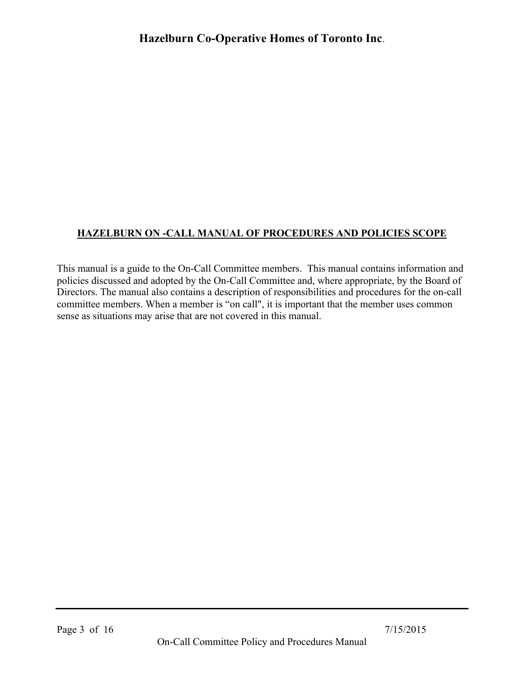# **HAZELBURN ON -CALL MANUAL OF PROCEDURES AND POLICIES SCOPE**

This manual is a guide to the On-Call Committee members. This manual contains information and policies discussed and adopted by the On-Call Committee and, where appropriate, by the Board of Directors. The manual also contains a description of responsibilities and procedures for the on-call committee members. When a member is "on call", it is important that the member uses common sense as situations may arise that are not covered in this manual.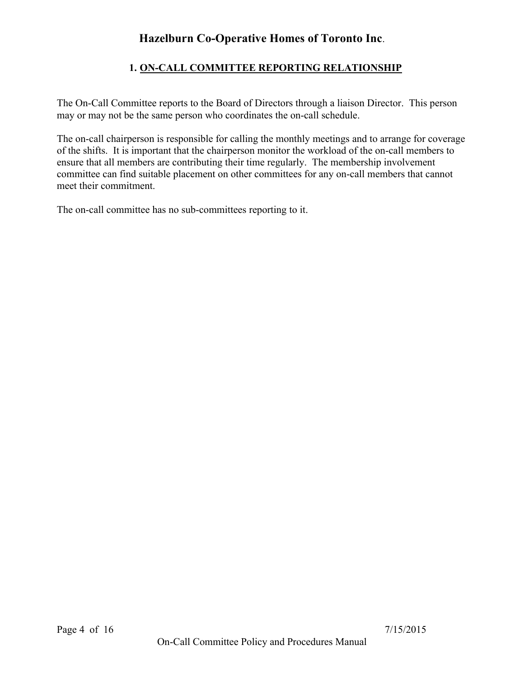## **1. ON-CALL COMMITTEE REPORTING RELATIONSHIP**

The On-Call Committee reports to the Board of Directors through a liaison Director. This person may or may not be the same person who coordinates the on-call schedule.

The on-call chairperson is responsible for calling the monthly meetings and to arrange for coverage of the shifts. It is important that the chairperson monitor the workload of the on-call members to ensure that all members are contributing their time regularly. The membership involvement committee can find suitable placement on other committees for any on-call members that cannot meet their commitment.

The on-call committee has no sub-committees reporting to it.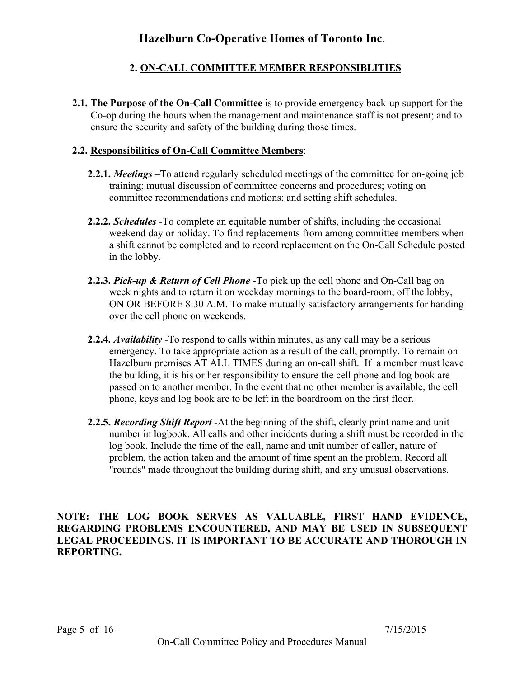# **2. ON-CALL COMMITTEE MEMBER RESPONSIBLITIES**

**2.1. The Purpose of the On-Call Committee** is to provide emergency back-up support for the Co-op during the hours when the management and maintenance staff is not present; and to ensure the security and safety of the building during those times.

## **2.2. Responsibilities of On-Call Committee Members**:

- **2.2.1.** *Meetings* –To attend regularly scheduled meetings of the committee for on-going job training; mutual discussion of committee concerns and procedures; voting on committee recommendations and motions; and setting shift schedules.
- **2.2.2.** *Schedules* -To complete an equitable number of shifts, including the occasional weekend day or holiday. To find replacements from among committee members when a shift cannot be completed and to record replacement on the On-Call Schedule posted in the lobby.
- **2.2.3.** *Pick-up & Return of Cell Phone* -To pick up the cell phone and On-Call bag on week nights and to return it on weekday mornings to the board-room, off the lobby, ON OR BEFORE 8:30 A.M. To make mutually satisfactory arrangements for handing over the cell phone on weekends.
- **2.2.4.** *Availability* -To respond to calls within minutes, as any call may be a serious emergency. To take appropriate action as a result of the call, promptly. To remain on Hazelburn premises AT ALL TIMES during an on-call shift. If a member must leave the building, it is his or her responsibility to ensure the cell phone and log book are passed on to another member. In the event that no other member is available, the cell phone, keys and log book are to be left in the boardroom on the first floor.
- **2.2.5.** *Recording Shift Report* -At the beginning of the shift, clearly print name and unit number in logbook. All calls and other incidents during a shift must be recorded in the log book. Include the time of the call, name and unit number of caller, nature of problem, the action taken and the amount of time spent an the problem. Record all "rounds" made throughout the building during shift, and any unusual observations.

**NOTE: THE LOG BOOK SERVES AS VALUABLE, FIRST HAND EVIDENCE, REGARDING PROBLEMS ENCOUNTERED, AND MAY BE USED IN SUBSEQUENT LEGAL PROCEEDINGS. IT IS IMPORTANT TO BE ACCURATE AND THOROUGH IN REPORTING.**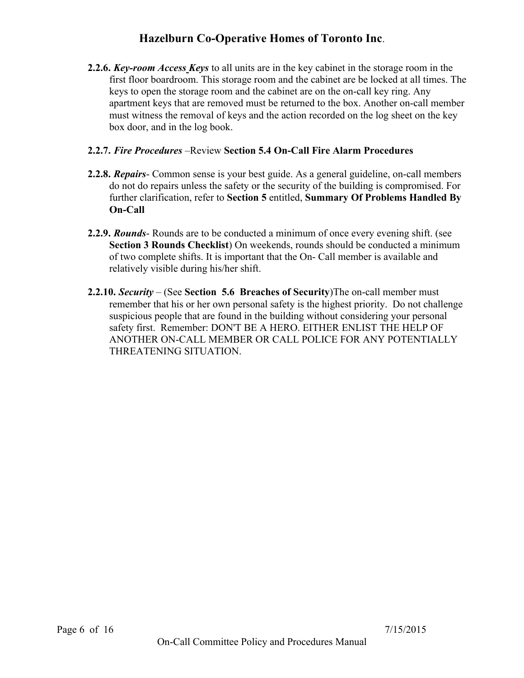**2.2.6.** *Key-room Access Keys* to all units are in the key cabinet in the storage room in the first floor boardroom. This storage room and the cabinet are be locked at all times. The keys to open the storage room and the cabinet are on the on-call key ring. Any apartment keys that are removed must be returned to the box. Another on-call member must witness the removal of keys and the action recorded on the log sheet on the key box door, and in the log book.

## **2.2.7.** *Fire Procedures* –Review **Section 5.4 On-Call Fire Alarm Procedures**

- **2.2.8.** *Repairs* Common sense is your best guide. As a general guideline, on-call members do not do repairs unless the safety or the security of the building is compromised. For further clarification, refer to **Section 5** entitled, **Summary Of Problems Handled By On-Call**
- **2.2.9.** *Rounds* Rounds are to be conducted a minimum of once every evening shift. (see **Section 3 Rounds Checklist**) On weekends, rounds should be conducted a minimum of two complete shifts. It is important that the On- Call member is available and relatively visible during his/her shift.
- **2.2.10.** *Security* (See **Section 5.6 Breaches of Security**)The on-call member must remember that his or her own personal safety is the highest priority. Do not challenge suspicious people that are found in the building without considering your personal safety first. Remember: DON'T BE A HERO. EITHER ENLIST THE HELP OF ANOTHER ON-CALL MEMBER OR CALL POLICE FOR ANY POTENTIALLY THREATENING SITUATION.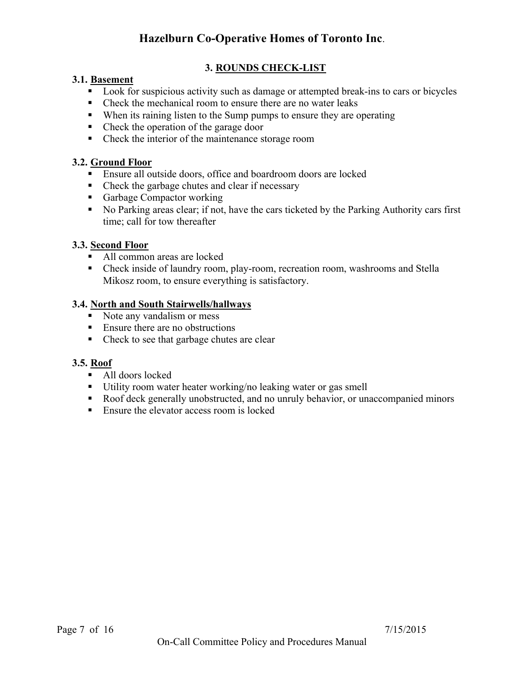## **3. ROUNDS CHECK-LIST**

#### **3.1. Basement**

- ! Look for suspicious activity such as damage or attempted break-ins to cars or bicycles
- Check the mechanical room to ensure there are no water leaks
- ! When its raining listen to the Sump pumps to ensure they are operating
- Check the operation of the garage door
- Check the interior of the maintenance storage room

### **3.2. Ground Floor**

- **Ensure all outside doors, office and boardroom doors are locked**
- Check the garbage chutes and clear if necessary
- Garbage Compactor working
- ! No Parking areas clear; if not, have the cars ticketed by the Parking Authority cars first time; call for tow thereafter

## **3.3. Second Floor**

- All common areas are locked
- ! Check inside of laundry room, play-room, recreation room, washrooms and Stella Mikosz room, to ensure everything is satisfactory.

#### **3.4. North and South Stairwells/hallways**

- Note any vandalism or mess
- Ensure there are no obstructions
- Check to see that garbage chutes are clear

#### **3.5. Roof**

- All doors locked
- ! Utility room water heater working/no leaking water or gas smell
- ! Roof deck generally unobstructed, and no unruly behavior, or unaccompanied minors
- Ensure the elevator access room is locked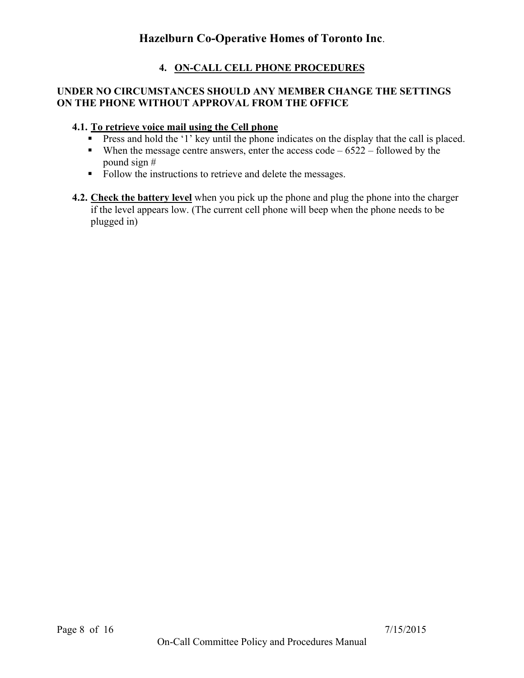## **4. ON-CALL CELL PHONE PROCEDURES**

#### **UNDER NO CIRCUMSTANCES SHOULD ANY MEMBER CHANGE THE SETTINGS ON THE PHONE WITHOUT APPROVAL FROM THE OFFICE**

### **4.1. To retrieve voice mail using the Cell phone**

- **Press and hold the '1' key until the phone indicates on the display that the call is placed.**
- $\blacksquare$  When the message centre answers, enter the access code 6522 followed by the pound sign #
- Follow the instructions to retrieve and delete the messages.
- **4.2. Check the battery level** when you pick up the phone and plug the phone into the charger if the level appears low. (The current cell phone will beep when the phone needs to be plugged in)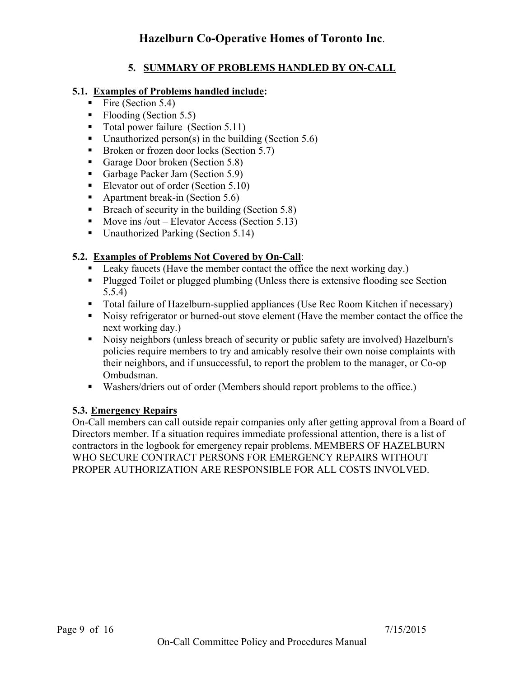## **5. SUMMARY OF PROBLEMS HANDLED BY ON-CALL**

## **5.1. Examples of Problems handled include:**

- $\blacksquare$  Fire (Section 5.4)
- $\blacksquare$  Flooding (Section 5.5)
- ! Total power failure (Section 5.11)
- $\blacksquare$  Unauthorized person(s) in the building (Section 5.6)
- Broken or frozen door locks (Section 5.7)
- Garage Door broken (Section 5.8)
- Garbage Packer Jam (Section 5.9)
- **Elevator out of order (Section 5.10)**
- Apartment break-in (Section 5.6)
- **Exerche Security in the building (Section 5.8)**
- $\blacksquare$  Move ins /out Elevator Access (Section 5.13)
- Unauthorized Parking (Section 5.14)

## **5.2. Examples of Problems Not Covered by On-Call**:

- Leaky faucets (Have the member contact the office the next working day.)
- ! Plugged Toilet or plugged plumbing (Unless there is extensive flooding see Section 5.5.4)
- ! Total failure of Hazelburn-supplied appliances (Use Rec Room Kitchen if necessary)
- ! Noisy refrigerator or burned-out stove element (Have the member contact the office the next working day.)
- ! Noisy neighbors (unless breach of security or public safety are involved) Hazelburn's policies require members to try and amicably resolve their own noise complaints with their neighbors, and if unsuccessful, to report the problem to the manager, or Co-op Ombudsman.
- ! Washers/driers out of order (Members should report problems to the office.)

## **5.3. Emergency Repairs**

On-Call members can call outside repair companies only after getting approval from a Board of Directors member. If a situation requires immediate professional attention, there is a list of contractors in the logbook for emergency repair problems. MEMBERS OF HAZELBURN WHO SECURE CONTRACT PERSONS FOR EMERGENCY REPAIRS WITHOUT PROPER AUTHORIZATION ARE RESPONSIBLE FOR ALL COSTS INVOLVED.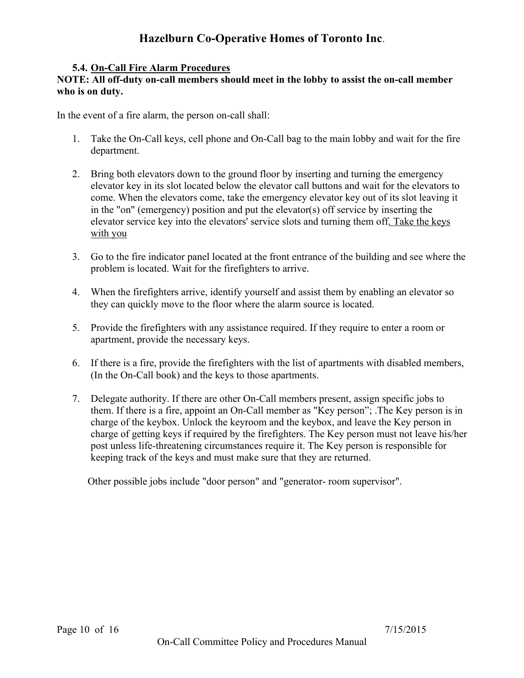### **5.4. On-Call Fire Alarm Procedures**

#### **NOTE: All off-duty on-call members should meet in the lobby to assist the on-call member who is on duty.**

In the event of a fire alarm, the person on-call shall:

- 1. Take the On-Call keys, cell phone and On-Call bag to the main lobby and wait for the fire department.
- 2. Bring both elevators down to the ground floor by inserting and turning the emergency elevator key in its slot located below the elevator call buttons and wait for the elevators to come. When the elevators come, take the emergency elevator key out of its slot leaving it in the "on" (emergency) position and put the elevator(s) off service by inserting the elevator service key into the elevators' service slots and turning them off. Take the keys with you
- 3. Go to the fire indicator panel located at the front entrance of the building and see where the problem is located. Wait for the firefighters to arrive.
- 4. When the firefighters arrive, identify yourself and assist them by enabling an elevator so they can quickly move to the floor where the alarm source is located.
- 5. Provide the firefighters with any assistance required. If they require to enter a room or apartment, provide the necessary keys.
- 6. If there is a fire, provide the firefighters with the list of apartments with disabled members, (In the On-Call book) and the keys to those apartments.
- 7. Delegate authority. If there are other On-Call members present, assign specific jobs to them. If there is a fire, appoint an On-Call member as "Key person"; .The Key person is in charge of the keybox. Unlock the keyroom and the keybox, and leave the Key person in charge of getting keys if required by the firefighters. The Key person must not leave his/her post unless life-threatening circumstances require it. The Key person is responsible for keeping track of the keys and must make sure that they are returned.

Other possible jobs include "door person" and "generator- room supervisor".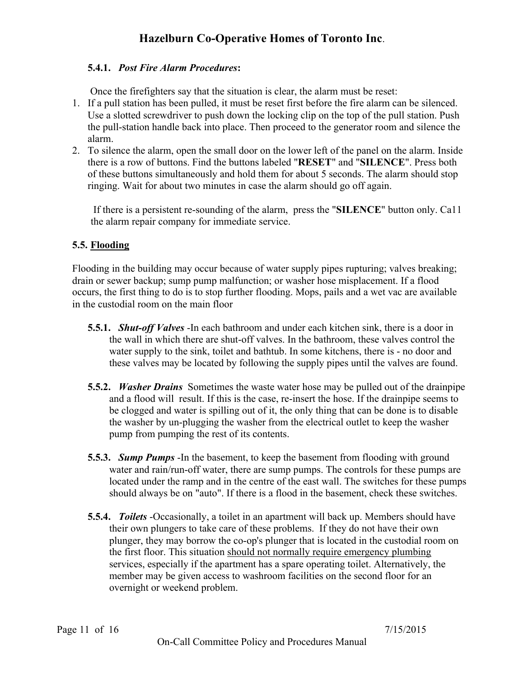## **5.4.1.** *Post Fire Alarm Procedures***:**

Once the firefighters say that the situation is clear, the alarm must be reset:

- 1. If a pull station has been pulled, it must be reset first before the fire alarm can be silenced. Use a slotted screwdriver to push down the locking clip on the top of the pull station. Push the pull-station handle back into place. Then proceed to the generator room and silence the alarm.
- 2. To silence the alarm, open the small door on the lower left of the panel on the alarm. Inside there is a row of buttons. Find the buttons labeled "**RESET**" and "**SILENCE**". Press both of these buttons simultaneously and hold them for about 5 seconds. The alarm should stop ringing. Wait for about two minutes in case the alarm should go off again.

If there is a persistent re-sounding of the alarm, press the "**SILENCE**" button only. Ca11 the alarm repair company for immediate service.

## **5.5. Flooding**

Flooding in the building may occur because of water supply pipes rupturing; valves breaking; drain or sewer backup; sump pump malfunction; or washer hose misplacement. If a flood occurs, the first thing to do is to stop further flooding. Mops, pails and a wet vac are available in the custodial room on the main floor

- **5.5.1.** *Shut-off Valves* -In each bathroom and under each kitchen sink, there is a door in the wall in which there are shut-off valves. In the bathroom, these valves control the water supply to the sink, toilet and bathtub. In some kitchens, there is - no door and these valves may be located by following the supply pipes until the valves are found.
- **5.5.2.** *Washer Drains* Sometimes the waste water hose may be pulled out of the drainpipe and a flood will result. If this is the case, re-insert the hose. If the drainpipe seems to be clogged and water is spilling out of it, the only thing that can be done is to disable the washer by un-plugging the washer from the electrical outlet to keep the washer pump from pumping the rest of its contents.
- **5.5.3.** *Sump Pumps* -In the basement, to keep the basement from flooding with ground water and rain/run-off water, there are sump pumps. The controls for these pumps are located under the ramp and in the centre of the east wall. The switches for these pumps should always be on "auto". If there is a flood in the basement, check these switches.
- **5.5.4.** *Toilets* -Occasionally, a toilet in an apartment will back up. Members should have their own plungers to take care of these problems. If they do not have their own plunger, they may borrow the co-op's plunger that is located in the custodial room on the first floor. This situation should not normally require emergency plumbing services, especially if the apartment has a spare operating toilet. Alternatively, the member may be given access to washroom facilities on the second floor for an overnight or weekend problem.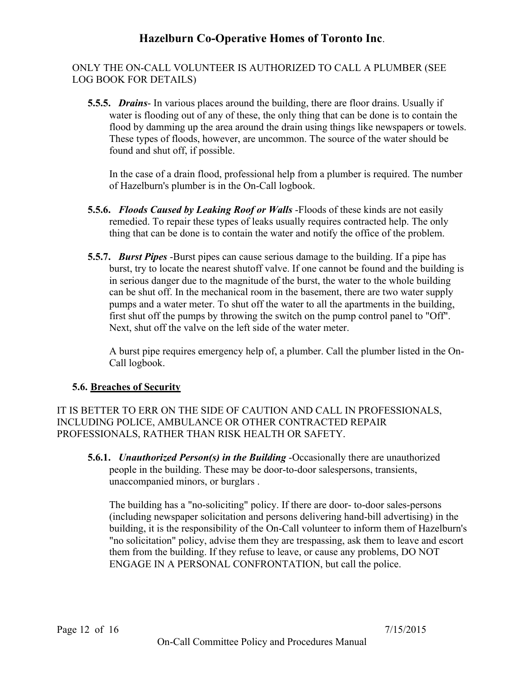ONLY THE ON-CALL VOLUNTEER IS AUTHORIZED TO CALL A PLUMBER (SEE LOG BOOK FOR DETAILS)

**5.5.5.** *Drains*- In various places around the building, there are floor drains. Usually if water is flooding out of any of these, the only thing that can be done is to contain the flood by damming up the area around the drain using things like newspapers or towels. These types of floods, however, are uncommon. The source of the water should be found and shut off, if possible.

In the case of a drain flood, professional help from a plumber is required. The number of Hazelburn's plumber is in the On-Call logbook.

- **5.5.6.** *Floods Caused by Leaking Roof or Walls* -Floods of these kinds are not easily remedied. To repair these types of leaks usually requires contracted help. The only thing that can be done is to contain the water and notify the office of the problem.
- **5.5.7.** *Burst Pipes* -Burst pipes can cause serious damage to the building. If a pipe has burst, try to locate the nearest shutoff valve. If one cannot be found and the building is in serious danger due to the magnitude of the burst, the water to the whole building can be shut off. In the mechanical room in the basement, there are two water supply pumps and a water meter. To shut off the water to all the apartments in the building, first shut off the pumps by throwing the switch on the pump control panel to "Off". Next, shut off the valve on the left side of the water meter.

A burst pipe requires emergency help of, a plumber. Call the plumber listed in the On-Call logbook.

## **5.6. Breaches of Security**

IT IS BETTER TO ERR ON THE SIDE OF CAUTION AND CALL IN PROFESSIONALS, INCLUDING POLICE, AMBULANCE OR OTHER CONTRACTED REPAIR PROFESSIONALS, RATHER THAN RISK HEALTH OR SAFETY.

**5.6.1.** *Unauthorized Person(s) in the Building* -Occasionally there are unauthorized people in the building. These may be door-to-door salespersons, transients, unaccompanied minors, or burglars .

The building has a "no-soliciting" policy. If there are door- to-door sales-persons (including newspaper solicitation and persons delivering hand-bill advertising) in the building, it is the responsibility of the On-Call volunteer to inform them of Hazelburn's "no solicitation" policy, advise them they are trespassing, ask them to leave and escort them from the building. If they refuse to leave, or cause any problems, DO NOT ENGAGE IN A PERSONAL CONFRONTATION, but call the police.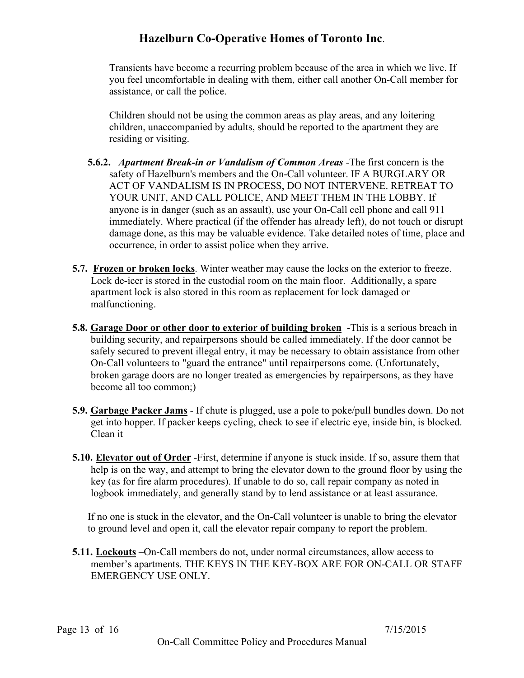Transients have become a recurring problem because of the area in which we live. If you feel uncomfortable in dealing with them, either call another On-Call member for assistance, or call the police.

Children should not be using the common areas as play areas, and any loitering children, unaccompanied by adults, should be reported to the apartment they are residing or visiting.

- **5.6.2.** *Apartment Break-in or Vandalism of Common Areas* -The first concern is the safety of Hazelburn's members and the On-Call volunteer. IF A BURGLARY OR ACT OF VANDALISM IS IN PROCESS, DO NOT INTERVENE. RETREAT TO YOUR UNIT, AND CALL POLICE, AND MEET THEM IN THE LOBBY. If anyone is in danger (such as an assault), use your On-Call cell phone and call 911 immediately. Where practical (if the offender has already left), do not touch or disrupt damage done, as this may be valuable evidence. Take detailed notes of time, place and occurrence, in order to assist police when they arrive.
- **5.7. Frozen or broken locks**. Winter weather may cause the locks on the exterior to freeze. Lock de-icer is stored in the custodial room on the main floor. Additionally, a spare apartment lock is also stored in this room as replacement for lock damaged or malfunctioning.
- **5.8. Garage Door or other door to exterior of building broken** -This is a serious breach in building security, and repairpersons should be called immediately. If the door cannot be safely secured to prevent illegal entry, it may be necessary to obtain assistance from other On-Call volunteers to "guard the entrance" until repairpersons come. (Unfortunately, broken garage doors are no longer treated as emergencies by repairpersons, as they have become all too common;)
- **5.9. Garbage Packer Jams** If chute is plugged, use a pole to poke/pull bundles down. Do not get into hopper. If packer keeps cycling, check to see if electric eye, inside bin, is blocked. Clean it
- **5.10. Elevator out of Order** -First, determine if anyone is stuck inside. If so, assure them that help is on the way, and attempt to bring the elevator down to the ground floor by using the key (as for fire alarm procedures). If unable to do so, call repair company as noted in logbook immediately, and generally stand by to lend assistance or at least assurance.

If no one is stuck in the elevator, and the On-Call volunteer is unable to bring the elevator to ground level and open it, call the elevator repair company to report the problem.

**5.11. Lockouts** –On-Call members do not, under normal circumstances, allow access to member's apartments. THE KEYS IN THE KEY-BOX ARE FOR ON-CALL OR STAFF EMERGENCY USE ONLY.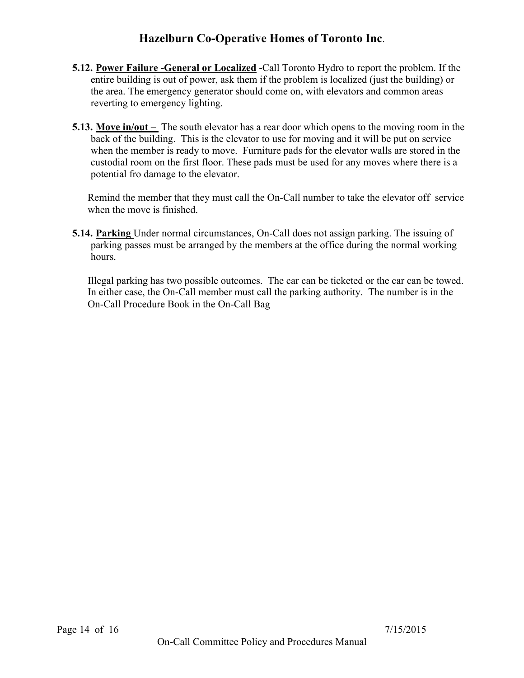- **5.12. Power Failure -General or Localized** -Call Toronto Hydro to report the problem. If the entire building is out of power, ask them if the problem is localized (just the building) or the area. The emergency generator should come on, with elevators and common areas reverting to emergency lighting.
- **5.13.** Move in/out The south elevator has a rear door which opens to the moving room in the back of the building. This is the elevator to use for moving and it will be put on service when the member is ready to move. Furniture pads for the elevator walls are stored in the custodial room on the first floor. These pads must be used for any moves where there is a potential fro damage to the elevator.

Remind the member that they must call the On-Call number to take the elevator off service when the move is finished.

**5.14. Parking** Under normal circumstances, On-Call does not assign parking. The issuing of parking passes must be arranged by the members at the office during the normal working hours.

Illegal parking has two possible outcomes. The car can be ticketed or the car can be towed. In either case, the On-Call member must call the parking authority. The number is in the On-Call Procedure Book in the On-Call Bag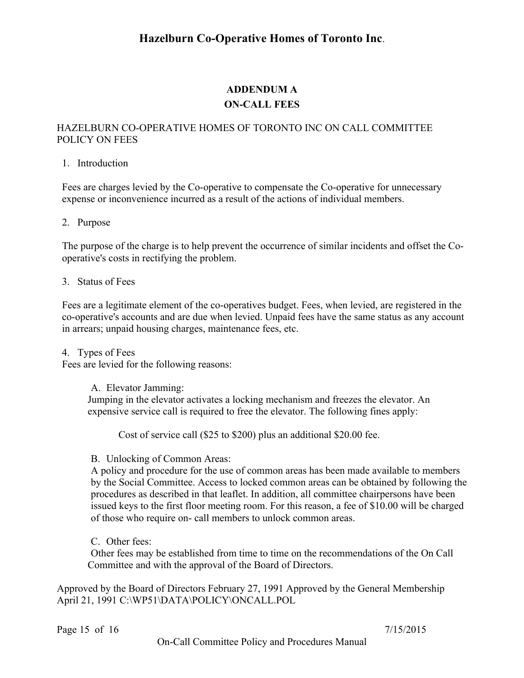# **ADDENDUM A ON-CALL FEES**

#### HAZELBURN CO-OPERATIVE HOMES OF TORONTO INC ON CALL COMMITTEE POLICY ON FEES

#### 1. Introduction

Fees are charges levied by the Co-operative to compensate the Co-operative for unnecessary expense or inconvenience incurred as a result of the actions of individual members.

#### 2. Purpose

The purpose of the charge is to help prevent the occurrence of similar incidents and offset the Cooperative's costs in rectifying the problem.

#### 3. Status of Fees

Fees are a legitimate element of the co-operatives budget. Fees, when levied, are registered in the co-operative's accounts and are due when levied. Unpaid fees have the same status as any account in arrears; unpaid housing charges, maintenance fees, etc.

4. Types of Fees

Fees are levied for the following reasons:

A. Elevator Jamming:

Jumping in the elevator activates a locking mechanism and freezes the elevator. An expensive service call is required to free the elevator. The following fines apply:

Cost of service call (\$25 to \$200) plus an additional \$20.00 fee.

B. Unlocking of Common Areas:

A policy and procedure for the use of common areas has been made available to members by the Social Committee. Access to locked common areas can be obtained by following the procedures as described in that leaflet. In addition, all committee chairpersons have been issued keys to the first floor meeting room. For this reason, a fee of \$10.00 will be charged of those who require on- call members to unlock common areas.

C. Other fees:

Other fees may be established from time to time on the recommendations of the On Call Committee and with the approval of the Board of Directors.

Approved by the Board of Directors February 27, 1991 Approved by the General Membership April 21, 1991 C:\WP51\DATA\POLICY\ONCALL.POL

Page 15 of 16 7/15/2015